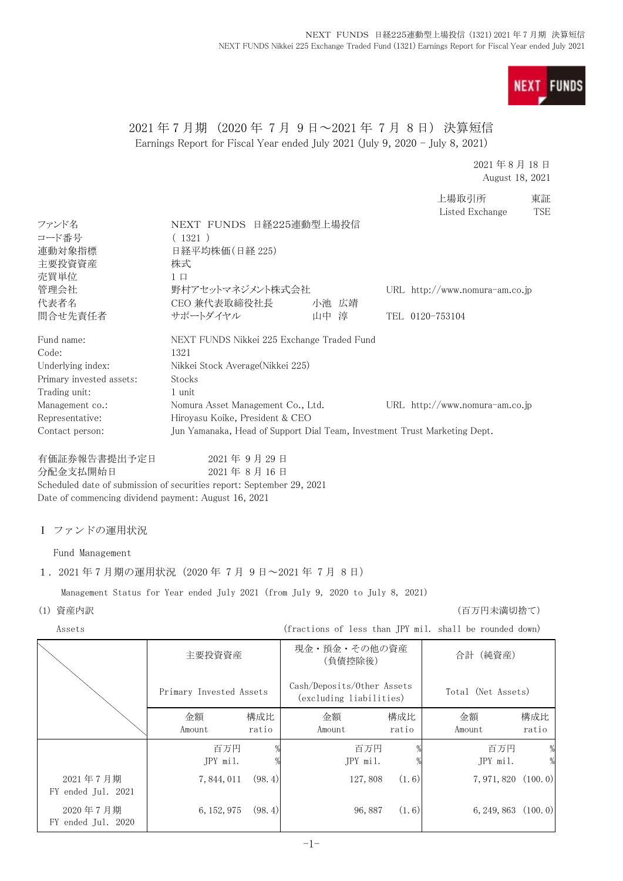

## 2021 年 7 月期 (2020 年 7 月 9 日~2021 年 7 月 8 日) 決算短信 Earnings Report for Fiscal Year ended July 2021 (July 9, 2020 - July 8, 2021)

2021 年 8 月 18 日 August 18, 2021

|                                                      |                                                                           |       | 上場取引所                            | 東証         |
|------------------------------------------------------|---------------------------------------------------------------------------|-------|----------------------------------|------------|
|                                                      |                                                                           |       | Listed Exchange                  | <b>TSE</b> |
| ファンド名                                                | NEXT FUNDS 日経225連動型上場投信                                                   |       |                                  |            |
| コード番号                                                | (1321)                                                                    |       |                                  |            |
| 連動対象指標                                               | 日経平均株価(日経 225)                                                            |       |                                  |            |
| 主要投資資産                                               | 株式                                                                        |       |                                  |            |
| 売買単位                                                 | $1 \Box$                                                                  |       |                                  |            |
| 管理会社                                                 | 野村アセットマネジメント株式会社                                                          |       | URL http://www.nomura-am.co.jp   |            |
| 代表者名                                                 | CEO 兼代表取締役社長                                                              | 小池 広靖 |                                  |            |
| 問合せ先責任者                                              | サポートダイヤル                                                                  | 山中 淳  | TEL 0120-753104                  |            |
| Fund name:                                           | NEXT FUNDS Nikkei 225 Exchange Traded Fund                                |       |                                  |            |
| Code:                                                | 1321                                                                      |       |                                  |            |
| Underlying index:                                    | Nikkei Stock Average (Nikkei 225)                                         |       |                                  |            |
| Primary invested assets:                             | <b>Stocks</b>                                                             |       |                                  |            |
| Trading unit:                                        | 1 unit                                                                    |       |                                  |            |
| Management co.:                                      | Nomura Asset Management Co., Ltd.                                         |       | URL $http://www.nomura-am.co.jp$ |            |
| Representative:                                      | Hiroyasu Koike, President & CEO                                           |       |                                  |            |
| Contact person:                                      | Jun Yamanaka, Head of Support Dial Team, Investment Trust Marketing Dept. |       |                                  |            |
| 有価証券報告書提出予定日                                         | 2021年9月29日                                                                |       |                                  |            |
| 分配金支払開始日                                             | 2021年8月16日                                                                |       |                                  |            |
|                                                      | Scheduled date of submission of securities report: September 29, 2021     |       |                                  |            |
| Date of commencing dividend payment: August 16, 2021 |                                                                           |       |                                  |            |
| Ⅰ ファンドの運用状況                                          |                                                                           |       |                                  |            |

Fund Management

1.2021 年 7 月期の運用状況(2020 年 7 月 9 日~2021 年 7 月 8 日)

Management Status for Year ended July 2021 (from July 9, 2020 to July 8, 2021)

(1) 資産内訳 (百万円未満切捨て)

Assets (fractions of less than JPY mil. shall be rounded down)

|  |                                | 主要投資資産                  |              | 現金・預金・その他の資産<br>(負債控除後)                               |              | 合計 (純資産)              |              |
|--|--------------------------------|-------------------------|--------------|-------------------------------------------------------|--------------|-----------------------|--------------|
|  |                                | Primary Invested Assets |              | Cash/Deposits/Other Assets<br>(excluding liabilities) |              | Total (Net Assets)    |              |
|  |                                | 金額<br>Amount            | 構成比<br>ratio | 金額<br>Amount                                          | 構成比<br>ratio | 金額<br>Amount          | 構成比<br>ratio |
|  |                                | 百万円<br>JPY mil.         |              | 百万円<br>JPY mil.                                       |              | 百万円<br>JPY mil.       | %            |
|  | 2021年7月期<br>FY ended Jul. 2021 | 7, 844, 011             | (98, 4)      | 127,808                                               | (1, 6)       | $7,971,820$ $(100.0)$ |              |
|  | 2020年7月期<br>FY ended Jul. 2020 | 6, 152, 975             | (98.4)       | 96,887                                                | (1.6)        | 6, 249, 863 $(100.0)$ |              |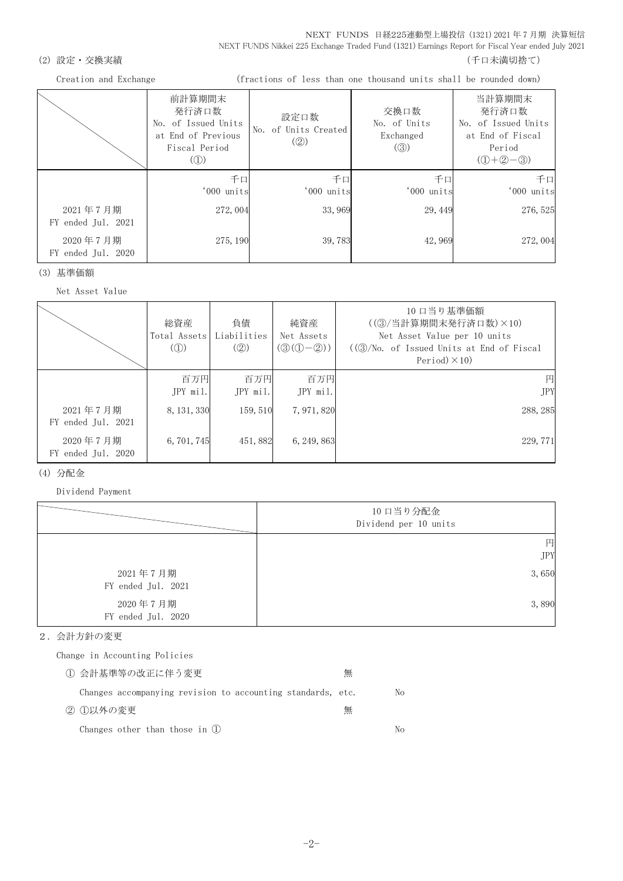NEXT FUNDS 日経225連動型上場投信 (1321) 2021 年 7 月期 決算短信 NEXT FUNDS Nikkei 225 Exchange Traded Fund (1321) Earnings Report for Fiscal Year ended July 2021

#### (2) 設定・交換実績 (2) またまま (1) これまでは こころには こうしょう にっぽん (千口未満切捨て)

Creation and Exchange (fractions of less than one thousand units shall be rounded down)

|                                | 前計算期間末<br>発行済口数<br>No. of Issued Units<br>at End of Previous<br>Fiscal Period<br>$\left( \circled{1}\right)$ | 設定口数<br>No. of Units Created<br>$\left( \circled{2} \right)$ | 交換口数<br>No. of Units<br>Exchanged<br>(3) | 当計算期間末<br>発行済口数<br>No. of Issued Units<br>at End of Fiscal<br>Period<br>$(① + ② - ③)$ |
|--------------------------------|--------------------------------------------------------------------------------------------------------------|--------------------------------------------------------------|------------------------------------------|---------------------------------------------------------------------------------------|
|                                | 千口<br>'000 units                                                                                             | 千口<br>'000 units                                             | 千口<br>'000 units                         | 千口<br>'000 units                                                                      |
| 2021年7月期<br>FY ended Jul. 2021 | 272,004                                                                                                      | 33,969                                                       | 29, 449                                  | 276, 525                                                                              |
| 2020年7月期<br>FY ended Jul. 2020 | 275, 190                                                                                                     | 39,783                                                       | 42,969                                   | 272,004                                                                               |

(3) 基準価額

Net Asset Value

|                                | 総資産<br>Total Assets Liabilities<br>$\mathcal{L}(\mathbb{D})$ | 負債<br>(Q)       | 純資産<br>Net Assets<br>$(\mathcal{D}(\mathbb{D}-\mathbb{D}))$ | 10 口当り基準価額<br>((3)/当計算期間末発行済口数)×10)<br>Net Asset Value per 10 units<br>$((3)/N0,$ of Issued Units at End of Fiscal<br>Period $)\times$ 10) |
|--------------------------------|--------------------------------------------------------------|-----------------|-------------------------------------------------------------|--------------------------------------------------------------------------------------------------------------------------------------------|
|                                | 百万円<br>JPY mil.                                              | 百万円<br>JPY mil. | 百万円<br>JPY mil.                                             | 円<br><b>JPY</b>                                                                                                                            |
| 2021年7月期<br>FY ended Jul. 2021 | 8, 131, 330                                                  | 159, 510        | 7, 971, 820                                                 | 288, 285                                                                                                                                   |
| 2020年7月期<br>FY ended Jul. 2020 | 6, 701, 745                                                  | 451,882         | 6, 249, 863                                                 | 229, 771                                                                                                                                   |

#### (4) 分配金

Dividend Payment

|                                | 10 口当り分配金<br>Dividend per 10 units |
|--------------------------------|------------------------------------|
|                                | 円<br><b>JPY</b>                    |
| 2021年7月期<br>FY ended Jul. 2021 | 3,650                              |
| 2020年7月期<br>FY ended Jul. 2020 | 3,890                              |

#### 2.会計方針の変更

Change in Accounting Policies

| ① 会計基準等の改正に伴う変更                                             | 無 |    |
|-------------------------------------------------------------|---|----|
| Changes accompanying revision to accounting standards, etc. |   | No |
| ② ①以外の変更                                                    | 無 |    |
| Changes other than those in (1)                             |   | Nο |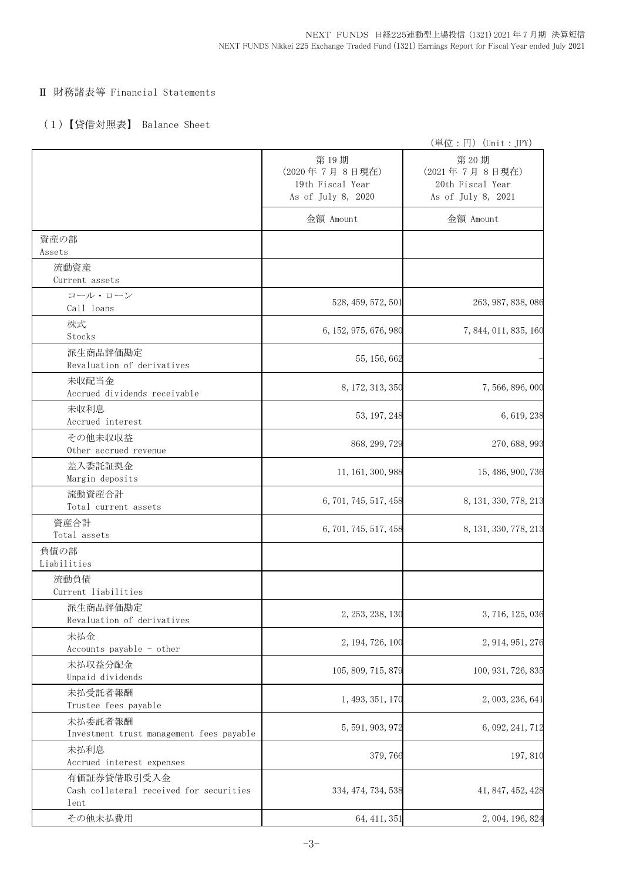### Ⅱ 財務諸表等 Financial Statements

## (1)【貸借対照表】 Balance Sheet

|                                                                |                                                                 | (単位:円) (Unit: JPY)                                              |
|----------------------------------------------------------------|-----------------------------------------------------------------|-----------------------------------------------------------------|
|                                                                | 第19期<br>(2020年7月8日現在)<br>19th Fiscal Year<br>As of July 8, 2020 | 第20期<br>(2021年7月8日現在)<br>20th Fiscal Year<br>As of July 8, 2021 |
|                                                                | 金額 Amount                                                       | 金額 Amount                                                       |
| 資産の部<br>Assets                                                 |                                                                 |                                                                 |
| 流動資産<br>Current assets                                         |                                                                 |                                                                 |
| コール・ローン                                                        |                                                                 |                                                                 |
| Call loans                                                     | 528, 459, 572, 501                                              | 263, 987, 838, 086                                              |
| 株式<br><b>Stocks</b>                                            | 6, 152, 975, 676, 980                                           | 7, 844, 011, 835, 160                                           |
| 派生商品評価勘定<br>Revaluation of derivatives                         | 55, 156, 662                                                    |                                                                 |
| 未収配当金<br>Accrued dividends receivable                          | 8, 172, 313, 350                                                | 7,566,896,000                                                   |
| 未収利息<br>Accrued interest                                       | 53, 197, 248                                                    | 6, 619, 238                                                     |
| その他未収収益<br>Other accrued revenue                               | 868, 299, 729                                                   | 270, 688, 993                                                   |
| 差入委託証拠金<br>Margin deposits                                     | 11, 161, 300, 988                                               | 15, 486, 900, 736                                               |
| 流動資産合計<br>Total current assets                                 | 6, 701, 745, 517, 458                                           | 8, 131, 330, 778, 213                                           |
| 資産合計<br>Total assets                                           | 6, 701, 745, 517, 458                                           | 8, 131, 330, 778, 213                                           |
| 負債の部<br>Liabilities                                            |                                                                 |                                                                 |
| 流動負債<br>Current liabilities                                    |                                                                 |                                                                 |
| 派生商品評価勘定<br>Revaluation of derivatives                         | 2, 253, 238, 130                                                | 3, 716, 125, 036                                                |
| 未払金<br>Accounts payable - other                                | 2, 194, 726, 100                                                | 2, 914, 951, 276                                                |
| 未払収益分配金<br>Unpaid dividends                                    | 105, 809, 715, 879                                              | 100, 931, 726, 835                                              |
| 未払受託者報酬<br>Trustee fees payable                                | 1, 493, 351, 170                                                | 2, 003, 236, 641                                                |
| 未払委託者報酬<br>Investment trust management fees payable            | 5, 591, 903, 972                                                | 6, 092, 241, 712                                                |
| 未払利息<br>Accrued interest expenses                              | 379, 766                                                        | 197,810                                                         |
| 有価証券貸借取引受入金<br>Cash collateral received for securities<br>lent | 334, 474, 734, 538                                              | 41, 847, 452, 428                                               |
| その他未払費用                                                        | 64, 411, 351                                                    | 2, 004, 196, 824                                                |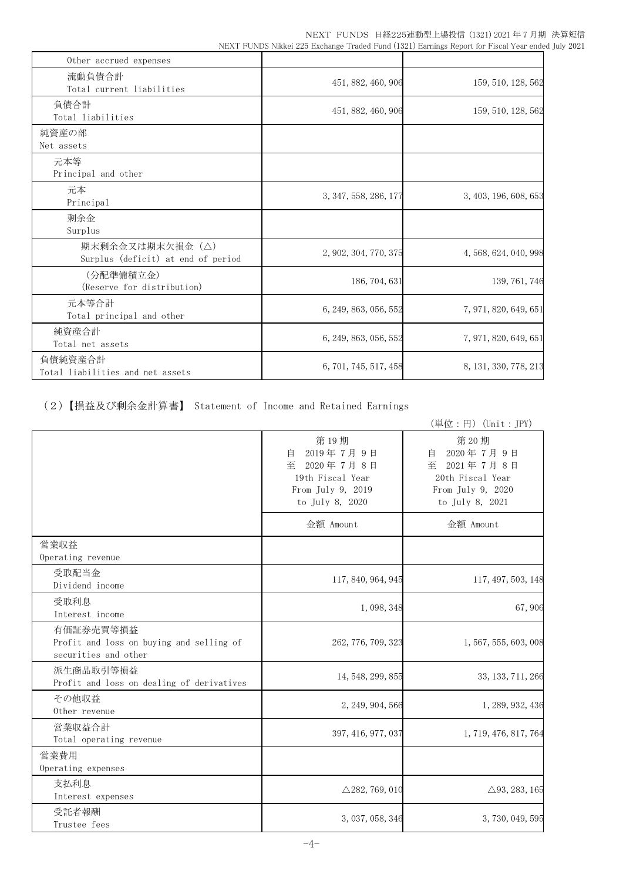NEXT FUNDS 日経225連動型上場投信 (1321) 2021 年 7 月期 決算短信 NEXT FUNDS Nikkei 225 Exchange Traded Fund (1321) Earnings Report for Fiscal Year ended July 2021

| Other accrued expenses                                |                       |                       |
|-------------------------------------------------------|-----------------------|-----------------------|
| 流動負債合計<br>Total current liabilities                   | 451, 882, 460, 906    | 159, 510, 128, 562    |
| 負債合計<br>Total liabilities                             | 451, 882, 460, 906    | 159, 510, 128, 562    |
| 純資産の部<br>Net assets                                   |                       |                       |
| 元本等<br>Principal and other                            |                       |                       |
| 元本<br>Principal                                       | 3, 347, 558, 286, 177 | 3, 403, 196, 608, 653 |
| 剰余金<br>Surplus                                        |                       |                       |
| 期末剰余金又は期末欠損金(△)<br>Surplus (deficit) at end of period | 2, 902, 304, 770, 375 | 4, 568, 624, 040, 998 |
| (分配準備積立金)<br>(Reserve for distribution)               | 186, 704, 631         | 139, 761, 746         |
| 元本等合計<br>Total principal and other                    | 6, 249, 863, 056, 552 | 7, 971, 820, 649, 651 |
| 純資産合計<br>Total net assets                             | 6, 249, 863, 056, 552 | 7, 971, 820, 649, 651 |
| 負債純資産合計<br>Total liabilities and net assets           | 6, 701, 745, 517, 458 | 8, 131, 330, 778, 213 |

(2)【損益及び剰余金計算書】 Statement of Income and Retained Earnings

|                                                                               |                                                                                                      | (単位:円) (Unit: JPY)                                                                                   |
|-------------------------------------------------------------------------------|------------------------------------------------------------------------------------------------------|------------------------------------------------------------------------------------------------------|
|                                                                               | 第19期<br>2019年7月9日<br>自<br>至<br>2020年7月8日<br>19th Fiscal Year<br>From July 9, 2019<br>to July 8, 2020 | 第20期<br>2020年7月9日<br>自<br>至<br>2021年7月8日<br>20th Fiscal Year<br>From July 9, 2020<br>to July 8, 2021 |
|                                                                               | 金額 Amount                                                                                            | 金額 Amount                                                                                            |
| 営業収益<br>Operating revenue                                                     |                                                                                                      |                                                                                                      |
| 受取配当金<br>Dividend income                                                      | 117, 840, 964, 945                                                                                   | 117, 497, 503, 148                                                                                   |
| 受取利息<br>Interest income                                                       | 1,098,348                                                                                            | 67,906                                                                                               |
| 有価証券売買等損益<br>Profit and loss on buying and selling of<br>securities and other | 262, 776, 709, 323                                                                                   | 1, 567, 555, 603, 008                                                                                |
| 派生商品取引等損益<br>Profit and loss on dealing of derivatives                        | 14, 548, 299, 855                                                                                    | 33, 133, 711, 266                                                                                    |
| その他収益<br>Other revenue                                                        | 2, 249, 904, 566                                                                                     | 1, 289, 932, 436                                                                                     |
| 営業収益合計<br>Total operating revenue                                             | 397, 416, 977, 037                                                                                   | 1, 719, 476, 817, 764                                                                                |
| 営業費用<br>Operating expenses                                                    |                                                                                                      |                                                                                                      |
| 支払利息<br>Interest expenses                                                     | $\triangle$ 282, 769, 010                                                                            | $\triangle$ 93, 283, 165                                                                             |
| 受託者報酬<br>Trustee fees                                                         | 3, 037, 058, 346                                                                                     | 3, 730, 049, 595                                                                                     |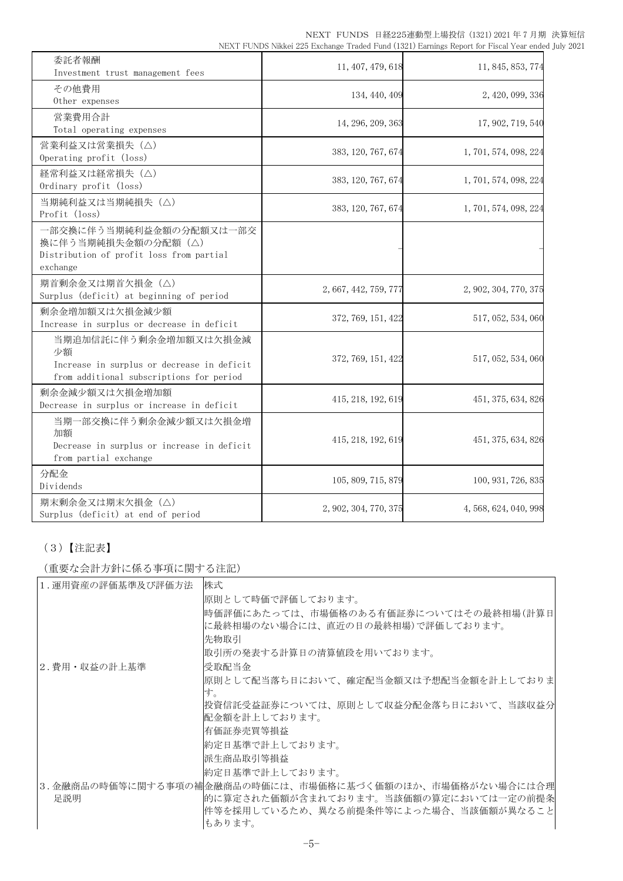| 委託者報酬<br>Investment trust management fees                                                                             | 11, 407, 479, 618     | 11, 845, 853, 774     |
|-----------------------------------------------------------------------------------------------------------------------|-----------------------|-----------------------|
| その他費用<br>Other expenses                                                                                               | 134, 440, 409         | 2, 420, 099, 336      |
| 営業費用合計<br>Total operating expenses                                                                                    | 14, 296, 209, 363     | 17, 902, 719, 540     |
| 営業利益又は営業損失(△)<br>Operating profit (loss)                                                                              | 383, 120, 767, 674    | 1, 701, 574, 098, 224 |
| 経常利益又は経常損失(△)<br>Ordinary profit (loss)                                                                               | 383, 120, 767, 674    | 1, 701, 574, 098, 224 |
| 当期純利益又は当期純損失(△)<br>Profit (loss)                                                                                      | 383, 120, 767, 674    | 1, 701, 574, 098, 224 |
| 一部交換に伴う当期純利益金額の分配額又は一部交<br>換に伴う当期純損失金額の分配額(△)<br>Distribution of profit loss from partial<br>exchange                 |                       |                       |
| 期首剰余金又は期首欠損金 (△)<br>Surplus (deficit) at beginning of period                                                          | 2, 667, 442, 759, 777 | 2, 902, 304, 770, 375 |
| 剰余金増加額又は欠損金減少額<br>Increase in surplus or decrease in deficit                                                          | 372, 769, 151, 422    | 517, 052, 534, 060    |
| 当期追加信託に伴う剰余金増加額又は欠損金減<br>少額<br>Increase in surplus or decrease in deficit<br>from additional subscriptions for period | 372, 769, 151, 422    | 517, 052, 534, 060    |
| 剰余金減少額又は欠損金増加額<br>Decrease in surplus or increase in deficit                                                          | 415, 218, 192, 619    | 451, 375, 634, 826    |
| 当期一部交換に伴う剰余金減少額又は欠損金増<br>加額<br>Decrease in surplus or increase in deficit<br>from partial exchange                    | 415, 218, 192, 619    | 451, 375, 634, 826    |
| 分配金<br>Dividends                                                                                                      | 105, 809, 715, 879    | 100, 931, 726, 835    |
| 期末剰余金又は期末欠損金 (△)<br>Surplus (deficit) at end of period                                                                | 2, 902, 304, 770, 375 | 4, 568, 624, 040, 998 |

# (3)【注記表】

(重要な会計方針に係る事項に関する注記)

| 1. 運用資産の評価基準及び評価方法 | 株式                                                      |
|--------------------|---------------------------------------------------------|
|                    | 原則として時価で評価しております。                                       |
|                    | 時価評価にあたっては、市場価格のある有価証券についてはその最終相場(計算日                   |
|                    | に最終相場のない場合には、直近の日の最終相場)で評価しております。                       |
|                    | 先物取引                                                    |
|                    | 取引所の発表する計算日の清算値段を用いております。                               |
| 2.費用・収益の計上基準       | 受取配当金                                                   |
|                    | 原則として配当落ち日において、確定配当金額又は予想配当金額を計上しておりま                   |
|                    | す。                                                      |
|                    | 投資信託受益証券については、原則として収益分配金落ち日において、当該収益分                   |
|                    | 配金額を計上しております。                                           |
|                    | 有価証券売買等損益                                               |
|                    | 約定日基準で計上しております。                                         |
|                    | 派生商品取引等損益                                               |
|                    | 約定日基準で計上しております。                                         |
|                    | 3.金融商品の時価等に関する事項の補金融商品の時価には、市場価格に基づく価額のほか、市場価格がない場合には合理 |
| 足説明                | 的に算定された価額が含まれております。当該価額の算定においては一定の前提条                   |
|                    | 件等を採用しているため、異なる前提条件等によった場合、当該価額が異なること<br> もあります。        |
|                    |                                                         |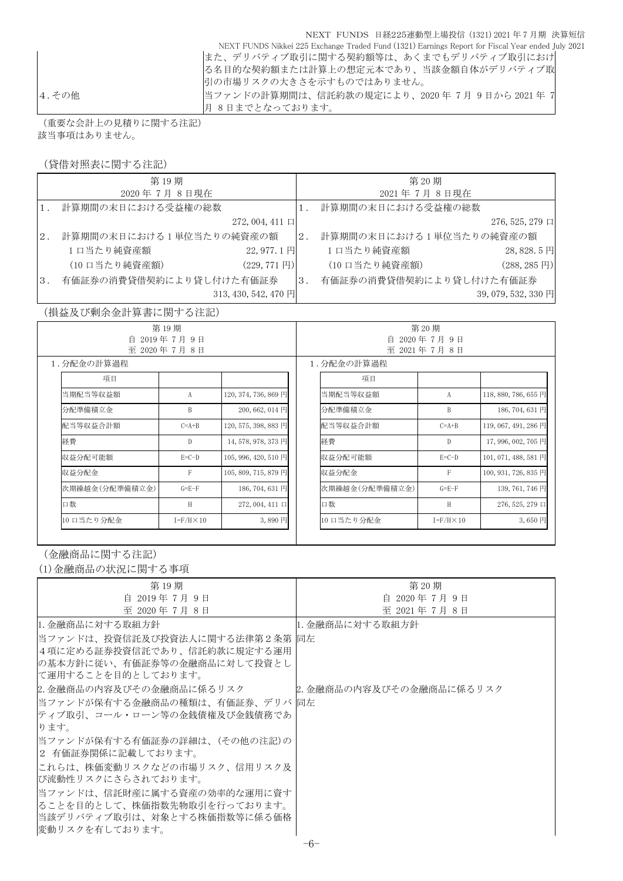|        | NEXT FUNDS 日経225連動型上場投信 (1321) 2021 年7月期 決算短信                                                     |
|--------|---------------------------------------------------------------------------------------------------|
|        | NEXT FUNDS Nikkei 225 Exchange Traded Fund (1321) Earnings Report for Fiscal Year ended July 2021 |
|        | また、デリバティブ取引に関する契約額等は、あくまでもデリバティブ取引におけ                                                             |
|        | る名目的な契約額または計算上の想定元本であり、当該金額自体がデリバティブ取                                                             |
|        | 引の市場リスクの大きさを示すものではありません。                                                                          |
| 4. その他 | 当ファンドの計算期間は、信託約款の規定により、2020年7月9日から2021年7<br> 月 8日までとなっております。                                      |
|        |                                                                                                   |

(重要な会計上の見積りに関する注記) 該当事項はありません。

(貸借対照表に関する注記)

| 第19期                                     |    | 第20期                                      |  |
|------------------------------------------|----|-------------------------------------------|--|
| 2020年7月8日現在                              |    | 2021年7月8日現在                               |  |
| 計算期間の末日における受益権の総数                        |    | 計算期間の末日における受益権の総数                         |  |
| $272,004,411 \square$                    |    | 276, 525, 279                             |  |
| 計算期間の末日における1単位当たりの純資産の額<br>2.            | 2. | 計算期間の末日における1単位当たりの純資産の額                   |  |
| 1口当たり純資産額<br>22,977.1円                   |    | 1口当たり純資産額<br>28,828.5円                    |  |
| (10 口当たり純資産額)<br>$(229, 771 \,\boxplus)$ |    | $(288, 285 \,\boxtimes)$<br>(10 口当たり純資産額) |  |
| 有価証券の消費貸借契約により貸し付けた有価証券<br>3.            | 3. | 有価証券の消費貸借契約により貸し付けた有価証券                   |  |
| 313, 430, 542, 470 円                     |    | 39,079,532,330 円                          |  |
|                                          |    |                                           |  |

### (損益及び剰余金計算書に関する注記)

| 第19期<br>2019年7月9日<br>自<br>至 2020年7月8日 |                                                                        |                        |    | 第20期<br>2020年7月9日<br>自<br>至 2021年7月8日 |                     |                      |  |  |
|---------------------------------------|------------------------------------------------------------------------|------------------------|----|---------------------------------------|---------------------|----------------------|--|--|
| 1.分配金の計算過程                            |                                                                        |                        |    | 1.分配金の計算過程                            |                     |                      |  |  |
| 項目                                    |                                                                        |                        | 項目 |                                       |                     |                      |  |  |
| 当期配当等収益額                              | A                                                                      | 120, 374, 736, 869 円   |    | 当期配当等収益額                              | A                   | 118, 880, 786, 655 円 |  |  |
| 分配準備積立金                               | B                                                                      | 200, 662, 014 円        |    | 分配準備積立金                               | B                   | 186, 704, 631 円      |  |  |
| 配当等収益合計額                              | $C=A+B$<br>120, 575, 398, 883 円<br>$\mathbb{D}$<br>14, 578, 978, 373 円 |                        |    | 配当等収益合計額                              | $C=A+B$             | 119, 067, 491, 286 円 |  |  |
| 経費                                    |                                                                        |                        |    | 経費                                    | $\mathbb{D}$        | 17,996,002,705円      |  |  |
| 収益分配可能額                               | $E=C-D$                                                                | $105, 996, 420, 510$ 円 |    | 収益分配可能額                               | $E=C-D$             | 101, 071, 488, 581 円 |  |  |
| 収益分配金                                 | F                                                                      | $105, 809, 715, 879$ 円 |    | 収益分配金                                 | F                   | 100, 931, 726, 835 円 |  |  |
| 次期繰越金(分配準備積立金)                        | $G = E - F$                                                            | 186, 704, 631 円        |    | 次期繰越金(分配準備積立金)                        | $G = E - F$         | 139, 761, 746 円      |  |  |
| 口数                                    | H                                                                      | $272,004,411 \square$  |    | 口数                                    | H                   | $276, 525, 279 \Box$ |  |  |
| 10 口当たり分配金                            | $I = F/H \times 10$                                                    | 3,890円                 |    | 10 口当たり分配金                            | $I = F/H \times 10$ | 3,650円               |  |  |

——<br>(金融商品に関する注記)

(1)金融商品の状況に関する事項

| 第 19 期                          | 第 20 期                  |
|---------------------------------|-------------------------|
| 自 2019年7月9日                     | 自 2020年7月9日             |
| 至 2020年 7月 8日                   | 至 2021年7月8日             |
| 11. 金融商品に対する取組方針                | 1. 金融商品に対する取組方針         |
| 当ファンドは、投資信託及び投資法人に関する法律第2条第 同左  |                         |
| 4項に定める証券投資信託であり、信託約款に規定する運用     |                         |
| の基本方針に従い、有価証券等の金融商品に対して投資とし     |                         |
| て運用することを目的としております。              |                         |
| 2.金融商品の内容及びその金融商品に係るリスク         | 2.金融商品の内容及びその金融商品に係るリスク |
| 当ファンドが保有する金融商品の種類は、有価証券、デリバ  同左 |                         |
| ティブ取引、コール・ローン等の金銭債権及び金銭債務であ     |                         |
| ります。                            |                         |
| 当ファンドが保有する有価証券の詳細は、(その他の注記)の    |                         |
| 2 有価証券関係に記載しております。              |                         |
| にれらは、株価変動リスクなどの市場リスク、信用リスク及     |                         |
| び流動性リスクにさらされております。              |                         |
| 当ファンドは、信託財産に属する資産の効率的な運用に資す     |                         |
| ることを目的として、株価指数先物取引を行っております。     |                         |
| 当該デリバティブ取引は、対象とする株価指数等に係る価格     |                         |
| 変動リスクを有しております。                  |                         |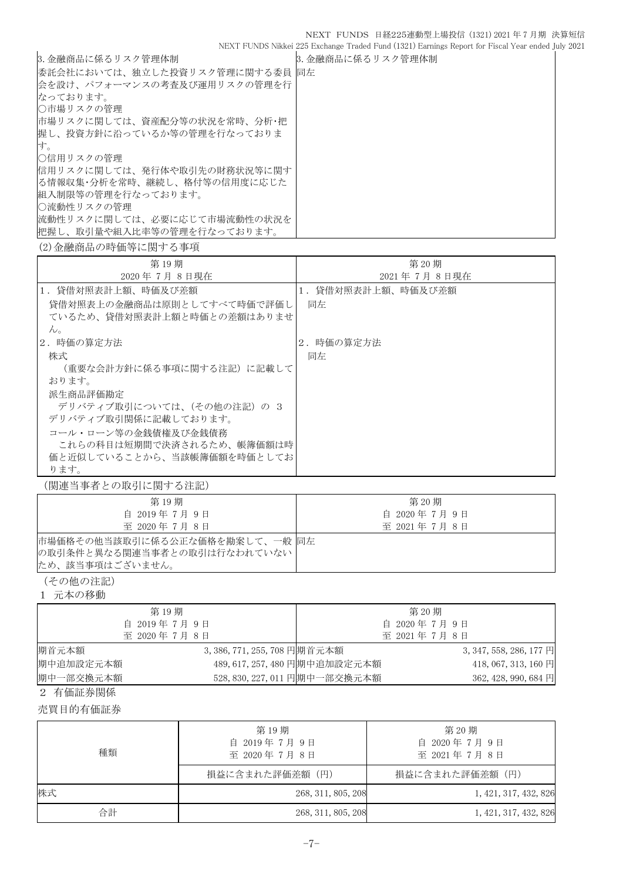|                               | NEXT FUNDS Nikkei 225 Exchange Traded Fund (1321) Earnings Report for Fiscal Year ended July 2021 |
|-------------------------------|---------------------------------------------------------------------------------------------------|
| 3. 金融商品に係るリスク管理体制             | 3. 金融商品に係るリスク管理体制                                                                                 |
| 委託会社においては、独立した投資リスク管理に関する委員同左 |                                                                                                   |
| 会を設け、パフォーマンスの考査及び運用リスクの管理を行   |                                                                                                   |
| なっております。                      |                                                                                                   |
| ○市場リスクの管理                     |                                                                                                   |
| 市場リスクに関しては、資産配分等の状況を常時、分析・把   |                                                                                                   |
| 握し、投資方針に沿っているか等の管理を行なっておりま    |                                                                                                   |
| す。                            |                                                                                                   |
| ○信用リスクの管理                     |                                                                                                   |
| 信用リスクに関しては、発行体や取引先の財務状況等に関す   |                                                                                                   |
| る情報収集・分析を常時、継続し、格付等の信用度に応じた   |                                                                                                   |
| 組入制限等の管理を行なっております。            |                                                                                                   |
| ○流動性リスクの管理                    |                                                                                                   |
| 流動性リスクに関しては、必要に応じて市場流動性の状況を   |                                                                                                   |
| 把握し、取引量や組入比率等の管理を行なっております。    |                                                                                                   |

### (2)金融商品の時価等に関する事項

| 第19期                       | 第20期              |
|----------------------------|-------------------|
| 2020年7月8日現在                | 2021年7月8日現在       |
| 1.貸借対照表計上額、時価及び差額          | 1.貸借対照表計上額、時価及び差額 |
| 貸借対照表上の金融商品は原則としてすべて時価で評価し | 同左                |
| ているため、貸借対照表計上額と時価との差額はありませ |                   |
| $\lambda$ <sub>o</sub>     |                   |
| 2.時価の算定方法                  | 2.時価の算定方法         |
| 株式                         | 同左                |
| (重要な会計方針に係る事項に関する注記) に記載して |                   |
| おります。                      |                   |
| 派生商品評価勘定                   |                   |
| デリバティブ取引については、(その他の注記)の3   |                   |
| デリバティブ取引関係に記載しております。       |                   |
| コール・ローン等の金銭債権及び金銭債務        |                   |
| これらの科目は短期間で決済されるため、帳簿価額は時  |                   |
| 価と近似していることから、当該帳簿価額を時価としてお |                   |
| ります。                       |                   |

(関連当事者との取引に関する注記)

| 第 19 期                                                                           | 第 20 期      |
|----------------------------------------------------------------------------------|-------------|
| 自 2019年7月9日                                                                      | 自 2020年7月9日 |
| 至 2020年7月8日                                                                      | 至 2021年7月8日 |
| 市場価格その他当該取引に係る公正な価格を勘案して、一般 同左<br>の取引条件と異なる関連当事者との取引は行なわれていない<br>ため、該当事項はございません。 |             |

(その他の注記)

1 元本の移動

|                                                  | 第19期                         |                               | 第 20 期                           |
|--------------------------------------------------|------------------------------|-------------------------------|----------------------------------|
|                                                  | 自 2019年7月9日                  |                               | 自 2020年7月9日                      |
|                                                  | 至 2020年7月8日                  |                               | 至 2021年7月8日                      |
| 期首元本額                                            | 3, 386, 771, 255, 708 円期首元本額 |                               | 3, 347, 558, 286, 177 $\text{H}$ |
| 期中追加設定元本額                                        |                              | 489, 617, 257, 480 円期中追加設定元本額 | 418, 067, 313, 160 円             |
| 期中一部交換元本額                                        |                              | 528, 830, 227, 011 円期中一部交換元本額 | 362, 428, 990, 684 円             |
| $\sim$ $\sim$ $\sim$ $\sim$ $\sim$ $\sim$ $\sim$ |                              |                               |                                  |

2 有価証券関係

売買目的有価証券

| 種類 | 第19期<br>自 2019年7月9日<br>至 2020年7月8日 | 第20期<br>自 2020年7月9日<br>至 2021年7月8日 |  |  |
|----|------------------------------------|------------------------------------|--|--|
|    | 損益に含まれた評価差額(円)                     | 損益に含まれた評価差額(円)                     |  |  |
| 株式 | 268, 311, 805, 208                 | 1, 421, 317, 432, 826              |  |  |
| 合計 | 268, 311, 805, 208                 | 1, 421, 317, 432, 826              |  |  |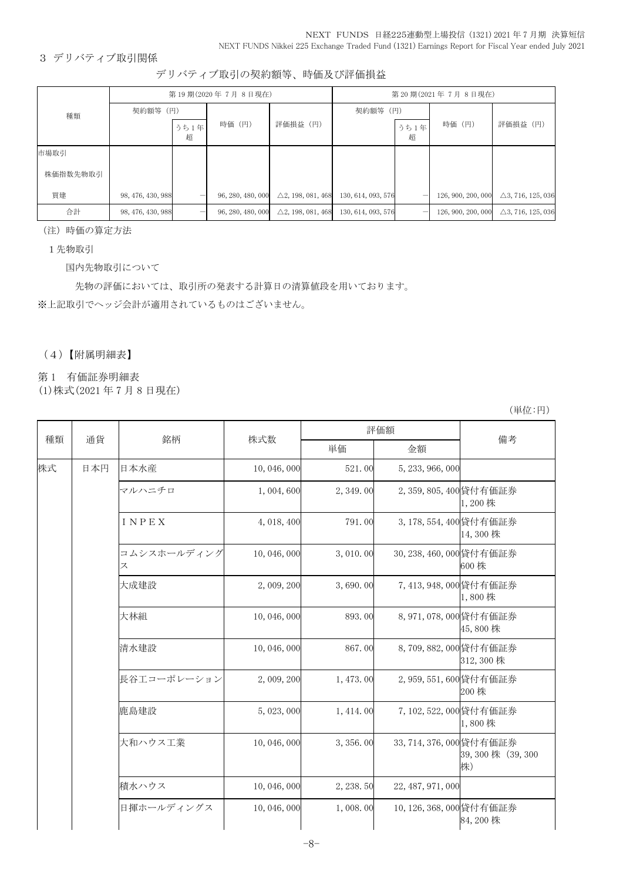3 デリバティブ取引関係

デリバティブ取引の契約額等、時価及び評価損益

|          | 第19期(2020年7月8日現在) |           |                   |                              | 第20期(2021年7月8日現在)  |           |                    |                              |
|----------|-------------------|-----------|-------------------|------------------------------|--------------------|-----------|--------------------|------------------------------|
| 種類       | 契約額等 (円)          |           |                   |                              | 契約額等 (円)           |           |                    |                              |
|          |                   | うち1年<br>超 | 時価 (円)            | 評価損益 (円)                     |                    | うち1年<br>超 | 時価 (円)             | 評価損益 (円)                     |
| 市場取引     |                   |           |                   |                              |                    |           |                    |                              |
| 株価指数先物取引 |                   |           |                   |                              |                    |           |                    |                              |
| 買建       | 98, 476, 430, 988 |           | 96, 280, 480, 000 | $\triangle$ 2, 198, 081, 468 | 130, 614, 093, 576 |           | 126, 900, 200, 000 | $\triangle$ 3, 716, 125, 036 |
| 合計       | 98, 476, 430, 988 |           | 96, 280, 480, 000 | $\triangle$ 2, 198, 081, 468 | 130, 614, 093, 576 |           | 126, 900, 200, 000 | $\triangle$ 3, 716, 125, 036 |

(注)時価の算定方法

1先物取引

国内先物取引について

先物の評価においては、取引所の発表する計算日の清算値段を用いております。

※上記取引でヘッジ会計が適用されているものはございません。

(4)【附属明細表】

第 1 有価証券明細表

(1)株式(2021 年 7 月 8 日現在)

(単位:円)

|    | 通貨  | 銘柄               |             |            | 評価額                      | 備考                       |
|----|-----|------------------|-------------|------------|--------------------------|--------------------------|
| 種類 |     |                  | 株式数         | 単価         | 金額                       |                          |
| 株式 | 日本円 | 日本水産             | 10,046,000  | 521.00     | 5, 233, 966, 000         |                          |
|    |     | マルハニチロ           | 1,004,600   | 2, 349.00  | 2,359,805,400 貸付有価証券     | 1,200株                   |
|    |     | INPEX            | 4, 018, 400 | 791.00     | 3,178,554,400 貸付有価証券     | 14,300株                  |
|    |     | コムシスホールディング<br>ス | 10,046,000  | 3,010.00   | 30, 238, 460, 000 貸付有価証券 | 600 株                    |
|    |     | 大成建設             | 2,009,200   | 3,690.00   | 7,413,948,000 貸付有価証券     | 1,800株                   |
|    |     | 大林組              | 10,046,000  | 893.00     | 8,971,078,000貸付有価証券      | 45,800株                  |
|    |     | 清水建設             | 10,046,000  | 867.00     | 8,709,882,000貸付有価証券      | 312, 300 株               |
|    |     | 長谷工コーポレーション      | 2,009,200   | 1, 473, 00 | 2,959,551,600 貸付有価証券     | 200 株                    |
|    |     | 鹿島建設             | 5,023,000   | 1, 414.00  | 7,102,522,000 貸付有価証券     | 1,800株                   |
|    |     | 大和ハウス工業          | 10,046,000  | 3, 356.00  | 33, 714, 376, 000 貸付有価証券 | 39, 300 株 (39, 300<br>株) |
|    |     | 積水ハウス            | 10,046,000  | 2, 238.50  | 22, 487, 971, 000        |                          |
|    |     | 日揮ホールディングス       | 10,046,000  | 1,008.00   | 10, 126, 368, 000 貸付有価証券 | 84,200株                  |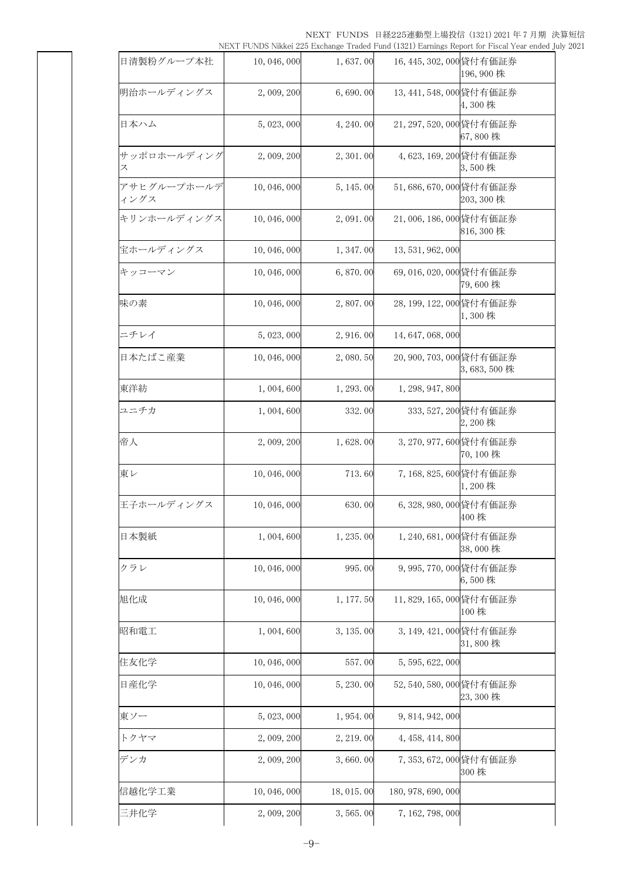NEXT FUNDS 日経225連動型上場投信 (1321) 2021 年 7 月期 決算短信 NEXT FUNDS Nikkei 225 Exchange Traded Fund (1321) Earnings Report for Fiscal Year ended July 2021

|                     |             |           |                          | TVE/YET TOTADO TAIKKEL 220 EXCHANGE TRAGEA FUNA (1021) EALIMIKO REPORT FOL FISCAL FEAL ENGEA JULY 2 |
|---------------------|-------------|-----------|--------------------------|-----------------------------------------------------------------------------------------------------|
| 日清製粉グループ本社          | 10,046,000  | 1,637.00  | 16, 445, 302, 000 貸付有価証券 | 196, 900 株                                                                                          |
| 明治ホールディングス          | 2,009,200   | 6,690.00  | 13, 441, 548, 000 貸付有価証券 | 4,300株                                                                                              |
| 日本ハム                | 5, 023, 000 | 4, 240.00 | 21, 297, 520, 000貸付有価証券  | 67,800株                                                                                             |
| サッポロホールディング<br>ス    | 2,009,200   | 2,301.00  | 4,623,169,200貸付有価証券      | 3,500株                                                                                              |
| アサヒグループホールデ<br>ィングス | 10,046,000  | 5, 145.00 | 51,686,670,000 貸付有価証券    | 203, 300 株                                                                                          |
| キリンホールディングス         | 10,046,000  | 2,091.00  | 21,006,186,000貸付有価証券     | 816,300株                                                                                            |
| 宝ホールディングス           | 10,046,000  | 1,347.00  | 13, 531, 962, 000        |                                                                                                     |
| キッコーマン              | 10,046,000  | 6,870.00  | 69,016,020,000貸付有価証券     | 79,600株                                                                                             |
| 味の素                 | 10,046,000  | 2,807.00  | 28, 199, 122, 000 貸付有価証券 | 1,300株                                                                                              |
| ニチレイ                | 5, 023, 000 | 2,916.00  | 14, 647, 068, 000        |                                                                                                     |
| 日本たばこ産業             | 10,046,000  | 2,080.50  | 20,900,703,000貸付有価証券     | 3,683,500株                                                                                          |
| 東洋紡                 | 1,004,600   | 1, 293.00 | 1, 298, 947, 800         |                                                                                                     |
| ユニチカ                | 1,004,600   | 332.00    |                          | 333, 527, 200 貸付有価証券<br>2,200株                                                                      |
| 帝人                  | 2,009,200   | 1,628.00  | 3, 270, 977, 600 貸付有価証券  | 70,100株                                                                                             |
| 東レ                  | 10,046,000  | 713.60    | 7,168,825,600 貸付有価証券     | 1,200株                                                                                              |
| 王子ホールディングス          | 10,046,000  | 630.00    | 6,328,980,000貸付有価証券      | 400株                                                                                                |
| 日本製紙                | 1,004,600   | 1, 235.00 | 1, 240, 681, 000 貸付有価証券  | 38,000株                                                                                             |
| クラレ                 | 10,046,000  | 995.00    | 9,995,770,000貸付有価証券      | 6,500株                                                                                              |
| 旭化成                 | 10,046,000  | 1, 177.50 | 11,829,165,000 貸付有価証券    | 100株                                                                                                |
| 昭和電工                | 1,004,600   | 3, 135.00 | 3, 149, 421, 000 貸付有価証券  | 31, 800 株                                                                                           |
| 住友化学                | 10,046,000  | 557.00    | 5, 595, 622, 000         |                                                                                                     |
| 日産化学                | 10,046,000  | 5, 230.00 | 52,540,580,000貸付有価証券     | 23,300株                                                                                             |
| 東ソー                 | 5, 023, 000 | 1,954.00  | 9, 814, 942, 000         |                                                                                                     |
| トクヤマ                | 2, 009, 200 | 2, 219.00 | 4, 458, 414, 800         |                                                                                                     |
| デンカ                 | 2, 009, 200 | 3,660.00  | 7, 353, 672, 000 貸付有価証券  | 300株                                                                                                |
| 信越化学工業              | 10,046,000  | 18,015.00 | 180, 978, 690, 000       |                                                                                                     |
| 三井化学                | 2, 009, 200 | 3,565.00  | 7, 162, 798, 000         |                                                                                                     |
|                     |             |           |                          |                                                                                                     |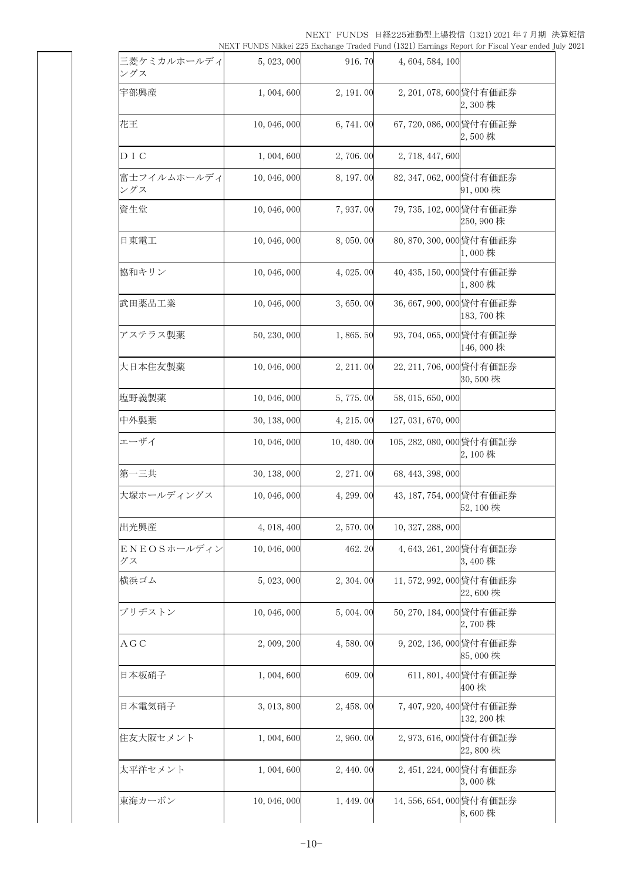NEXT FUNDS 日経225連動型上場投信 (1321) 2021 年 7 月期 決算短信 NEXT FUNDS Nikkei 225 Exchange Traded Fund (1321) Earnings Report for Fiscal Year ended July 2021

| 三菱ケミカルホールディ<br>ングス | 5, 023, 000  | 916.70      | 4, 604, 584, 100          |                               |
|--------------------|--------------|-------------|---------------------------|-------------------------------|
| 宇部興産               | 1,004,600    | 2, 191.00   | 2, 201, 078, 600 貸付有価証券   | 2,300株                        |
| 花王                 | 10,046,000   | 6,741.00    | 67,720,086,000貸付有価証券      | 2,500株                        |
| D I C              | 1,004,600    | 2,706.00    | 2, 718, 447, 600          |                               |
| 富士フイルムホールディ<br>ングス | 10,046,000   | 8, 197.00   | 82, 347, 062, 000貸付有価証券   | 91,000株                       |
| 資生堂                | 10,046,000   | 7,937.00    | 79,735,102,000 貸付有価証券     | 250,900株                      |
| 日東電工               | 10,046,000   | 8,050.00    | 80,870,300,000貸付有価証券      | 1,000株                        |
| 協和キリン              | 10,046,000   | 4,025.00    | 40, 435, 150, 000貸付有価証券   | 1,800株                        |
| 武田薬品工業             | 10,046,000   | 3,650.00    | 36,667,900,000貸付有価証券      | 183,700株                      |
| アステラス製薬            | 50, 230, 000 | 1,865.50    | 93, 704, 065, 000 貸付有価証券  | 146,000株                      |
| 大日本住友製薬            | 10, 046, 000 | 2, 211.00   | 22, 211, 706, 000 貸付有価証券  | 30,500株                       |
| 塩野義製薬              | 10, 046, 000 | 5,775.00    | 58, 015, 650, 000         |                               |
| 中外製薬               | 30, 138, 000 | 4, 215, 00  | 127, 031, 670, 000        |                               |
| エーザイ               | 10, 046, 000 | 10, 480, 00 | 105, 282, 080, 000 貸付有価証券 | 2,100株                        |
| 第一三共               | 30, 138, 000 | 2, 271.00   | 68, 443, 398, 000         |                               |
| 大塚ホールディングス         | 10,046,000   | 4, 299.00   | 43, 187, 754, 000 貸付有価証券  | 52,100 株                      |
| 出光興産               | 4, 018, 400  | 2,570.00    | 10, 327, 288, 000         |                               |
| ENEOSホールディン<br>グス  | 10,046,000   | 462.20      | 4,643,261,200 貸付有価証券      | 3,400株                        |
| 横浜ゴム               | 5,023,000    | 2,304.00    | 11,572,992,000 貸付有価証券     | 22,600株                       |
| ブリヂストン             | 10,046,000   | 5,004.00    | 50, 270, 184, 000 貸付有価証券  | 2,700株                        |
| A G C              | 2,009,200    | 4,580.00    | 9, 202, 136, 000 貸付有価証券   | 85,000株                       |
| 日本板硝子              | 1,004,600    | 609.00      |                           | 611, 801, 400 貸付有価証券<br>400 株 |
| 日本電気硝子             | 3, 013, 800  | 2, 458.00   | 7,407,920,400貸付有価証券       | 132, 200 株                    |
| 住友大阪セメント           | 1,004,600    | 2,960.00    | 2,973,616,000貸付有価証券       | 22,800株                       |
| 太平洋セメント            | 1,004,600    | 2, 440.00   | 2,451,224,000貸付有価証券       | 3,000株                        |
| 東海カーボン             | 10,046,000   | 1, 449.00   | 14,556,654,000 貸付有価証券     | 8,600株                        |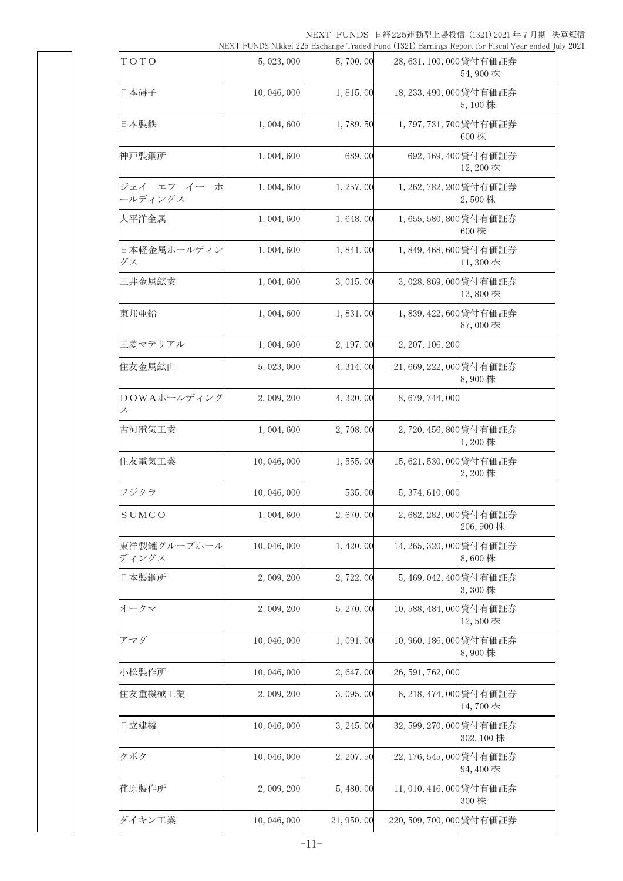NEXT FUNDS 日経225連動型上場投信 (1321) 2021 年 7 月期 決算短信 NEXT FUNDS Nikkei 225 Exchange Traded Fund (1321) Earnings Report for Fiscal Year ended July 2021

| TOTO                      | 5,023,000   | 5,700.00   | 28,631,100,000貸付有価証券     | 54,900 株                        |
|---------------------------|-------------|------------|--------------------------|---------------------------------|
| 日本碍子                      | 10,046,000  | 1,815.00   | 18, 233, 490, 000 貸付有価証券 | 5,100株                          |
| 日本製鉄                      | 1,004,600   | 1,789.50   | 1,797,731,700 貸付有価証券     | 600 株                           |
| 神戸製鋼所                     | 1,004,600   | 689.00     |                          | 692, 169, 400 貸付有価証券<br>12,200株 |
| ジェイ エフ イー<br>朩<br>ールディングス | 1,004,600   | 1, 257.00  | 1, 262, 782, 200 貸付有価証券  | 2,500株                          |
| 大平洋金属                     | 1,004,600   | 1,648.00   | 1,655,580,800 貸付有価証券     | 600 株                           |
| 日本軽金属ホールディン<br>グス         | 1,004,600   | 1,841.00   | 1,849,468,600 貸付有価証券     | 11,300株                         |
| 三井金属鉱業                    | 1,004,600   | 3,015.00   | 3,028,869,000 貸付有価証券     | 13,800株                         |
| 東邦亜鉛                      | 1,004,600   | 1,831.00   | 1,839,422,600 貸付有価証券     | 87,000株                         |
| 三菱マテリアル                   | 1,004,600   | 2, 197.00  | 2, 207, 106, 200         |                                 |
| 住友金属鉱山                    | 5, 023, 000 | 4, 314.00  | 21,669,222,000貸付有価証券     | 8,900株                          |
| DOWAホールディング<br>ス          | 2,009,200   | 4,320.00   | 8, 679, 744, 000         |                                 |
| 古河電気工業                    | 1,004,600   | 2,708.00   | 2,720,456,800 貸付有価証券     | 1,200株                          |
| 住友電気工業                    | 10,046,000  | 1,555.00   | 15,621,530,000 貸付有価証券    | 2,200株                          |
| フジクラ                      | 10,046,000  | 535.00     | 5, 374, 610, 000         |                                 |
| <b>SUMCO</b>              | 1,004,600   | 2,670.00   | 2,682,282,000 貸付有価証券     | 206, 900 株                      |
| 東洋製罐グループホール<br>ディングス      | 10,046,000  | 1,420.00   | 14, 265, 320, 000 貸付有価証券 | 8,600株                          |
| 日本製鋼所                     | 2,009,200   | 2,722.00   | 5,469,042,400 貸付有価証券     | 3,300株                          |
| オークマ                      | 2,009,200   | 5, 270.00  | 10,588,484,000 貸付有価証券    | 12,500株                         |
| アマダ                       | 10,046,000  | 1,091.00   | 10,960,186,000 貸付有価証券    | 8,900株                          |
| 小松製作所                     | 10,046,000  | 2,647.00   | 26, 591, 762, 000        |                                 |
| 住友重機械工業                   | 2,009,200   | 3,095.00   | 6, 218, 474, 000 貸付有価証券  | 14,700株                         |
| 日立建機                      | 10,046,000  | 3, 245.00  | 32,599,270,000貸付有価証券     | 302, 100 株                      |
| クボタ                       | 10,046,000  | 2, 207.50  | 22, 176, 545, 000 貸付有価証券 | 94, 400 株                       |
| 荏原製作所                     | 2,009,200   | 5,480.00   | 11,010,416,000貸付有価証券     | 300 株                           |
| ダイキン工業                    | 10,046,000  | 21, 950.00 | 220,509,700,000貸付有価証券    |                                 |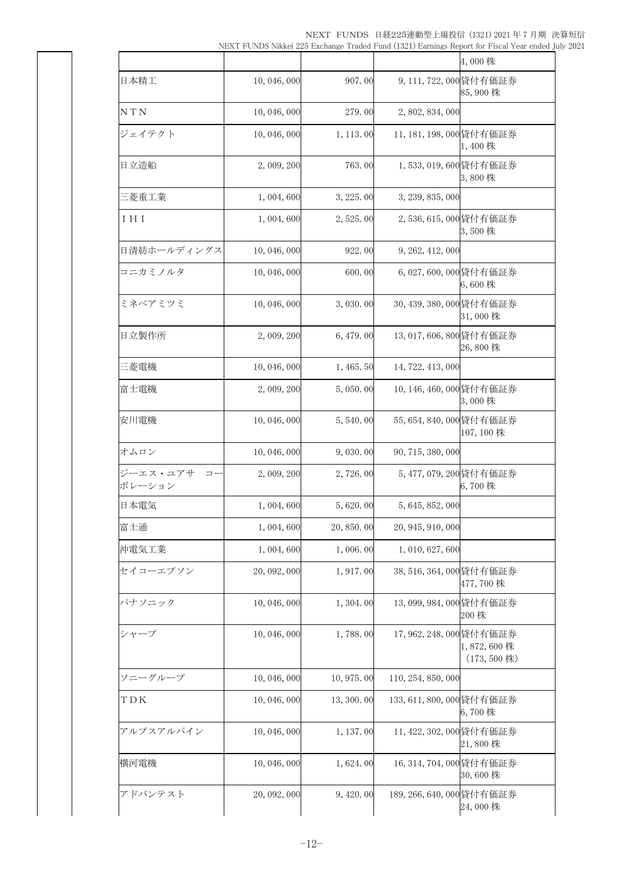NEXT FUNDS 日経225連動型上場投信 (1321) 2021 年 7 月期 決算短信 NEXT FUNDS Nikkei 225 Exchange Traded Fund (1321) Earnings Report for Fiscal Year ended July 2021

|                                   |              |            |                           | 4,000株                       |
|-----------------------------------|--------------|------------|---------------------------|------------------------------|
| 日本精工                              | 10,046,000   | 907.00     | 9, 111, 722, 000 貸付有価証券   | 85,900株                      |
| NTN                               | 10,046,000   | 279.00     | 2, 802, 834, 000          |                              |
| ジェイテクト                            | 10,046,000   | 1, 113.00  | 11, 181, 198, 000 貸付有価証券  | $1,400$ 株                    |
| 日立造船                              | 2, 009, 200  | 763.00     | 1,533,019,600 貸付有価証券      | 3,800株                       |
| 三菱重工業                             | 1,004,600    | 3, 225.00  | 3, 239, 835, 000          |                              |
| I H I                             | 1,004,600    | 2,525.00   | 2,536,615,000 貸付有価証券      | 3,500株                       |
| 日清紡ホールディングス                       | 10,046,000   | 922.00     | 9, 262, 412, 000          |                              |
| コニカミノルタ                           | 10,046,000   | 600.00     | 6,027,600,000貸付有価証券       | 6,600株                       |
| ミネベアミツミ                           | 10,046,000   | 3,030.00   | 30, 439, 380, 000 貸付有価証券  | 31,000株                      |
| 日立製作所                             | 2,009,200    | 6, 479.00  | 13,017,606,800 貸付有価証券     | 26,800株                      |
| 三菱電機                              | 10,046,000   | 1, 465.50  | 14, 722, 413, 000         |                              |
| 富士電機                              | 2,009,200    | 5,050.00   | 10, 146, 460, 000 貸付有価証券  | 3,000株                       |
| 安川電機                              | 10,046,000   | 5, 540, 00 | 55,654,840,000 貸付有価証券     | 107,100株                     |
| オムロン                              | 10,046,000   | 9,030.00   | 90, 715, 380, 000         |                              |
| ジーエス・ユアサ<br>$\sqsupset$<br>ポレーション | 2,009,200    | 2,726.00   | 5,477,079,200 貸付有価証券      | 6,700株                       |
| 日本電気                              | 1,004,600    | 5,620.00   | 5, 645, 852, 000          |                              |
| 富士通                               | 1,004,600    | 20,850.00  | 20, 945, 910, 000         |                              |
| 沖電気工業                             | 1,004,600    | 1,006.00   | 1,010,627,600             |                              |
| セイコーエプソン                          | 20, 092, 000 | 1,917.00   | 38,516,364,000 貸付有価証券     | 477,700株                     |
| パナソニック                            | 10,046,000   | 1,304.00   | 13,099,984,000 貸付有価証券     | 200株                         |
| シャープ                              | 10,046,000   | 1,788.00   | 17,962,248,000貸付有価証券      | 1,872,600株<br>$(173, 500$ 株) |
| ソニーグループ                           | 10,046,000   | 10, 975.00 | 110, 254, 850, 000        |                              |
| TDK                               | 10,046,000   | 13, 300.00 | 133, 611, 800, 000 貸付有価証券 | 6,700株                       |
| アルプスアルパイン                         | 10,046,000   | 1, 137.00  | 11,422,302,000貸付有価証券      | 21,800株                      |
| 横河電機                              | 10,046,000   | 1,624.00   | 16, 314, 704, 000 貸付有価証券  | 30,600 株                     |
| アドバンテスト                           | 20, 092, 000 | 9, 420.00  | 189, 266, 640, 000 貸付有価証券 | 24,000株                      |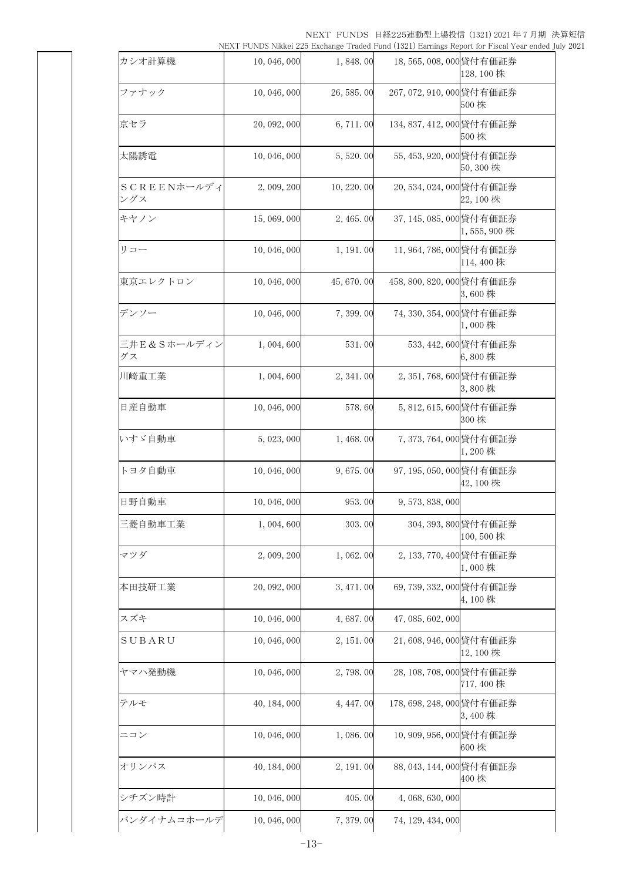NEXT FUNDS 日経225連動型上場投信 (1321) 2021 年 7 月期 決算短信 NEXT FUNDS Nikkei 225 Exchange Traded Fund (1321) Earnings Report for Fiscal Year ended July 2021

| カシオ計算機             | 10,046,000   | 1,848.00    | 18,565,008,000 貸付有価証券     | 128, 100 株                      |
|--------------------|--------------|-------------|---------------------------|---------------------------------|
| ファナック              | 10,046,000   | 26, 585.00  | 267, 072, 910, 000 貸付有価証券 | 500 株                           |
| 京セラ                | 20, 092, 000 | 6, 711.00   | 134, 837, 412, 000 貸付有価証券 | 500 株                           |
| 太陽誘電               | 10,046,000   | 5,520.00    | 55, 453, 920, 000 貸付有価証券  | 50,300株                         |
| SCREENホールディ<br>ングス | 2,009,200    | 10, 220, 00 | 20,534,024,000 貸付有価証券     | 22,100株                         |
| キヤノン               | 15,069,000   | 2, 465.00   | 37, 145, 085, 000 貸付有価証券  | 1,555,900株                      |
| リコー                | 10,046,000   | 1, 191.00   | 11,964,786,000 貸付有価証券     | 114, 400 株                      |
| 東京エレクトロン           | 10,046,000   | 45,670.00   | 458, 800, 820, 000 貸付有価証券 | 3,600株                          |
| デンソー               | 10,046,000   | 7,399.00    | 74, 330, 354, 000 貸付有価証券  | 1,000株                          |
| 三井E&Sホールディン<br>グス  | 1,004,600    | 531.00      |                           | 533, 442, 600 貸付有価証券<br>6,800株  |
| 川崎重工業              | 1,004,600    | 2, 341.00   | 2,351,768,600 貸付有価証券      | 3,800株                          |
| 日産自動車              | 10,046,000   | 578.60      | 5, 812, 615, 600 貸付有価証券   | 300 株                           |
| いすゞ自動車             | 5, 023, 000  | 1,468.00    | 7,373,764,000 貸付有価証券      | 1,200株                          |
| トヨタ自動車             | 10,046,000   | 9,675.00    | 97,195,050,000貸付有価証券      | 42,100株                         |
| 日野自動車              | 10,046,000   | 953.00      | 9, 573, 838, 000          |                                 |
| 三菱自動車工業            | 1,004,600    | 303.00      |                           | 304, 393, 800貸付有価証券<br>100,500株 |
| マツダ                | 2,009,200    | 1,062.00    | 2, 133, 770, 400 貸付有価証券   | 1,000株                          |
| 本田技研工業             | 20, 092, 000 | 3, 471.00   | 69,739,332,000貸付有価証券      | 4,100株                          |
| スズキ                | 10,046,000   | 4,687.00    | 47, 085, 602, 000         |                                 |
| SUBARU             | 10,046,000   | 2, 151.00   | 21,608,946,000 貸付有価証券     | 12,100株                         |
| ヤマハ発動機             | 10,046,000   | 2,798.00    | 28,108,708,000貸付有価証券      | 717, 400 株                      |
| テルモ                | 40, 184, 000 | 4, 447.00   | 178, 698, 248, 000 貸付有価証券 | 3,400株                          |
| ニコン                | 10,046,000   | 1,086.00    | 10,909,956,000 貸付有価証券     | 600 株                           |
| オリンパス              | 40, 184, 000 | 2, 191.00   | 88, 043, 144, 000 貸付有価証券  | 400株                            |
| シチズン時計             | 10,046,000   | 405.00      | 4, 068, 630, 000          |                                 |
| バンダイナムコホールデ        | 10,046,000   | 7,379.00    | 74, 129, 434, 000         |                                 |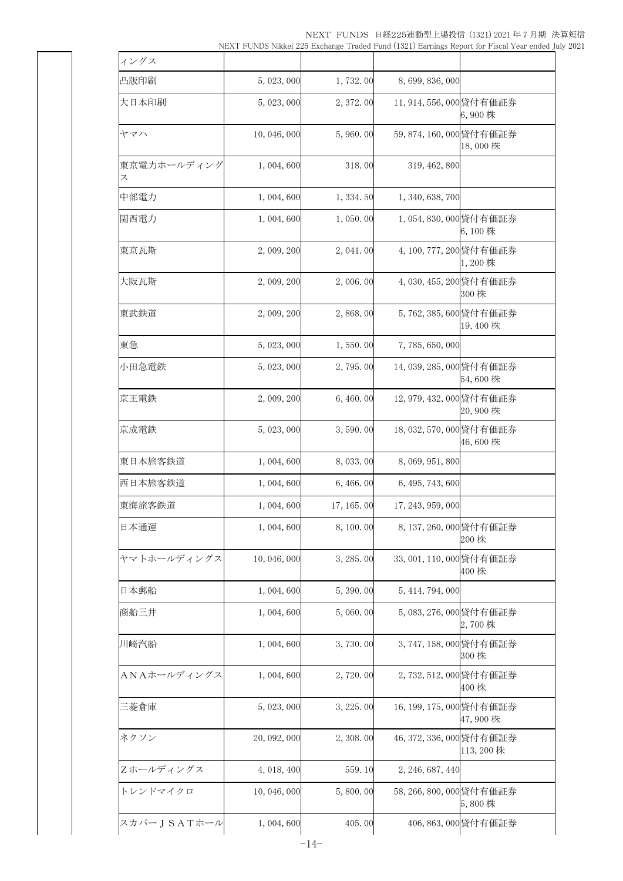NEXT FUNDS 日経225連動型上場投信 (1321) 2021 年 7 月期 決算短信 NEXT FUNDS Nikkei 225 Exchange Traded Fund (1321) Earnings Report for Fiscal Year ended July 2021

| ィングス             |              |            |                          |                      |
|------------------|--------------|------------|--------------------------|----------------------|
| 凸版印刷             | 5, 023, 000  | 1,732.00   | 8, 699, 836, 000         |                      |
| 大日本印刷            | 5, 023, 000  | 2,372.00   | 11,914,556,000 貸付有価証券    | 6,900株               |
| ヤマハ              | 10,046,000   | 5,960.00   | 59,874,160,000貸付有価証券     | 18,000株              |
| 東京電力ホールディング<br>ス | 1,004,600    | 318.00     | 319, 462, 800            |                      |
| 中部電力             | 1,004,600    | 1, 334. 50 | 1, 340, 638, 700         |                      |
| 関西電力             | 1,004,600    | 1,050.00   | 1,054,830,000貸付有価証券      | 6,100株               |
| 東京瓦斯             | 2,009,200    | 2,041.00   | 4, 100, 777, 200 貸付有価証券  | 1,200株               |
| 大阪瓦斯             | 2, 009, 200  | 2,006.00   | 4,030,455,200貸付有価証券      | 300株                 |
| 東武鉄道             | 2,009,200    | 2,868.00   | 5,762,385,600 貸付有価証券     | 19,400株              |
| 東急               | 5, 023, 000  | 1,550.00   | 7,785,650,000            |                      |
| 小田急電鉄            | 5, 023, 000  | 2,795.00   | 14,039,285,000 貸付有価証券    | 54,600株              |
| 京王電鉄             | 2,009,200    | 6,460.00   | 12,979,432,000 貸付有価証券    | 20,900株              |
| 京成電鉄             | 5,023,000    | 3,590.00   | 18,032,570,000貸付有価証券     | 46,600株              |
| 東日本旅客鉄道          | 1,004,600    | 8,033.00   | 8, 069, 951, 800         |                      |
| 西日本旅客鉄道          | 1,004,600    | 6,466.00   | 6, 495, 743, 600         |                      |
| 東海旅客鉄道           | 1,004,600    | 17, 165.00 | 17, 243, 959, 000        |                      |
| 日本通運             | 1,004,600    | 8,100.00   | 8, 137, 260, 000 貸付有価証券  | 200 株                |
| ヤマトホールディングス      | 10,046,000   | 3, 285.00  | 33,001,110,000貸付有価証券     | 400株                 |
| 日本郵船             | 1,004,600    | 5,390.00   | 5, 414, 794, 000         |                      |
| 商船三井             | 1,004,600    | 5,060.00   | 5,083,276,000 貸付有価証券     | 2,700株               |
| 川崎汽船             | 1,004,600    | 3,730,00   | 3,747,158,000貸付有価証券      | 300 株                |
| ANAホールディングス      | 1,004,600    | 2,720.00   | 2,732,512,000貸付有価証券      | 400 株                |
| 三菱倉庫             | 5,023,000    | 3, 225.00  | 16, 199, 175, 000 貸付有価証券 | 47,900株              |
| ネクソン             | 20, 092, 000 | 2,308.00   | 46, 372, 336, 000 貸付有価証券 | 113,200株             |
| Zホールディングス        | 4, 018, 400  | 559.10     | 2, 246, 687, 440         |                      |
| トレンドマイクロ         | 10,046,000   | 5,800.00   | 58, 266, 800, 000 貸付有価証券 | 5,800株               |
| スカパーJSATホール      | 1,004,600    | 405.00     |                          | 406, 863, 000 貸付有価証券 |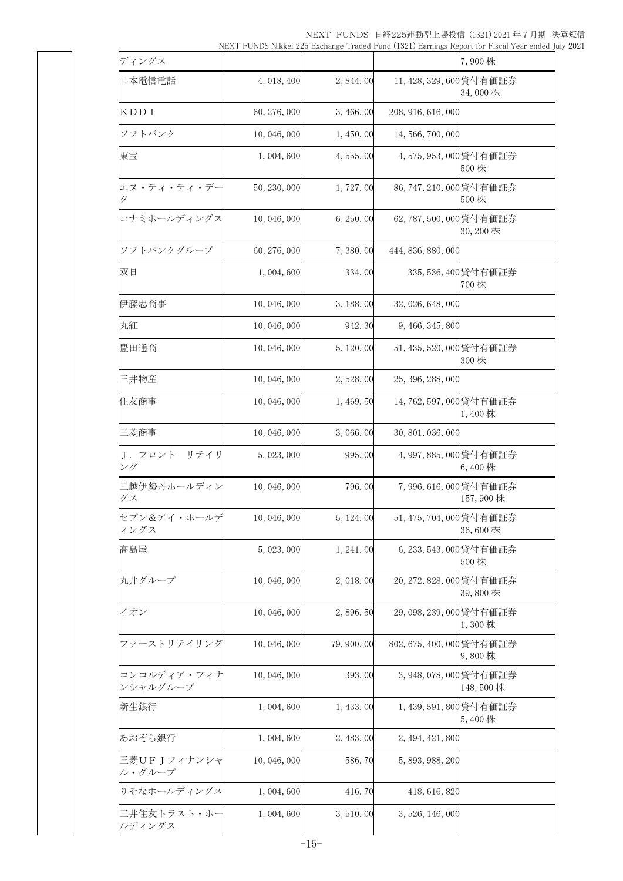NEXT FUNDS 日経225連動型上場投信 (1321) 2021 年 7 月期 決算短信 NEXT FUNDS Nikkei 225 Exchange Traded Fund (1321) Earnings Report for Fiscal Year ended July 2021

| ディングス                   |              |           |                           | 7,900株                       |
|-------------------------|--------------|-----------|---------------------------|------------------------------|
| 日本電信電話                  | 4, 018, 400  | 2,844.00  | 11, 428, 329, 600 貸付有価証券  | 34,000株                      |
| KDD I                   | 60, 276, 000 | 3,466.00  | 208, 916, 616, 000        |                              |
| ソフトバンク                  | 10,046,000   | 1,450.00  | 14, 566, 700, 000         |                              |
| 東宝                      | 1,004,600    | 4,555.00  | 4,575,953,000貸付有価証券       | 500株                         |
| エヌ・ティ・ティ・デー<br>タ        | 50, 230, 000 | 1,727.00  | 86, 747, 210, 000貸付有価証券   | 500株                         |
| コナミホールディングス             | 10,046,000   | 6, 250.00 | 62,787,500,000貸付有価証券      | 30,200株                      |
| ソフトバンクグループ              | 60, 276, 000 | 7,380.00  | 444, 836, 880, 000        |                              |
| 双日                      | 1,004,600    | 334.00    |                           | 335, 536, 400 貸付有価証券<br>700株 |
| 伊藤忠商事                   | 10,046,000   | 3, 188.00 | 32, 026, 648, 000         |                              |
| 丸紅                      | 10,046,000   | 942.30    | 9, 466, 345, 800          |                              |
| 豊田通商                    | 10,046,000   | 5, 120.00 | 51, 435, 520, 000 貸付有価証券  | 300 株                        |
| 三井物産                    | 10,046,000   | 2,528.00  | 25, 396, 288, 000         |                              |
| 住友商事                    | 10,046,000   | 1,469.50  | 14,762,597,000 貸付有価証券     | 1,400株                       |
| 三菱商事                    | 10,046,000   | 3,066.00  | 30, 801, 036, 000         |                              |
| リテイリ<br>J. フロント<br>ング   | 5, 023, 000  | 995.00    | 4,997,885,000貸付有価証券       | 6,400株                       |
| 三越伊勢丹ホールディン<br>グス       | 10,046,000   | 796.00    | 7,996,616,000貸付有価証券       | 157,900株                     |
| セブン&アイ・ホールデ<br>イングス     | 10,046,000   | 5, 124.00 | 51,475,704,000 貸付有価証券     | 36,600 株                     |
| 高島屋                     | 5, 023, 000  | 1, 241.00 | 6, 233, 543, 000 貸付有価証券   | 500 株                        |
| 丸井グループ                  | 10,046,000   | 2,018.00  | 20, 272, 828, 000 貸付有価証券  | 39,800株                      |
| イオン                     | 10, 046, 000 | 2,896.50  | 29,098,239,000 貸付有価証券     | 1,300株                       |
| ファーストリテイリング             | 10,046,000   | 79,900.00 | 802, 675, 400, 000 貸付有価証券 | 9,800株                       |
| コンコルディア・フィナ<br>ンシャルグループ | 10,046,000   | 393.00    | 3,948,078,000貸付有価証券       | 148,500株                     |
| 新生銀行                    | 1,004,600    | 1, 433.00 | 1,439,591,800貸付有価証券       | 5,400株                       |
| あおぞら銀行                  | 1,004,600    | 2, 483.00 | 2, 494, 421, 800          |                              |
| 三菱UFJフィナンシャ<br>ル・グループ   | 10,046,000   | 586.70    | 5, 893, 988, 200          |                              |
| りそなホールディングス             | 1,004,600    | 416.70    | 418, 616, 820             |                              |
| 三井住友トラスト・ホー<br>ルディングス   | 1,004,600    | 3,510.00  | 3, 526, 146, 000          |                              |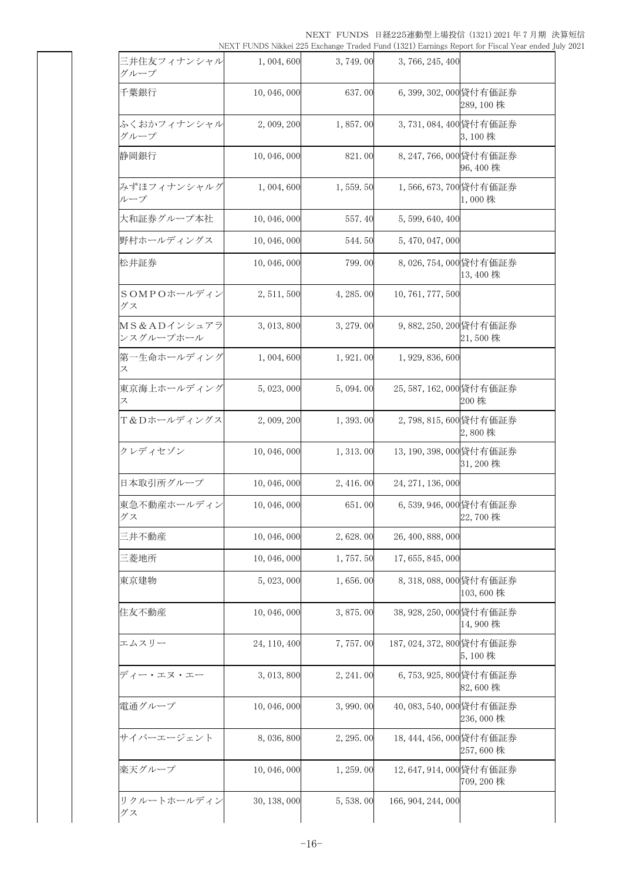NEXT FUNDS 日経225連動型上場投信 (1321) 2021 年 7 月期 決算短信 NEXT FUNDS Nikkei 225 Exchange Traded Fund (1321) Earnings Report for Fiscal Year ended July 2021

| 三井住友フィナンシャル<br>グループ      | 1,004,600    | 3,749.00   | 3, 766, 245, 400          |            |
|--------------------------|--------------|------------|---------------------------|------------|
| 千葉銀行                     | 10,046,000   | 637.00     | 6,399,302,000 貸付有価証券      | 289,100株   |
| ふくおかフィナンシャル<br>グループ      | 2,009,200    | 1,857.00   | 3,731,084,400 貸付有価証券      | 3,100株     |
| 静岡銀行                     | 10,046,000   | 821.00     | 8, 247, 766, 000 貸付有価証券   | 96, 400 株  |
| みずほフィナンシャルク<br>ループ       | 1,004,600    | 1,559.50   | 1,566,673,700 貸付有価証券      | 1,000株     |
| 大和証券グループ本社               | 10,046,000   | 557.40     | 5, 599, 640, 400          |            |
| 野村ホールディングス               | 10,046,000   | 544.50     | 5, 470, 047, 000          |            |
| 松井証券                     | 10,046,000   | 799.00     | 8,026,754,000 貸付有価証券      | 13,400株    |
| SOMPOホールディン<br>グス        | 2, 511, 500  | 4, 285.00  | 10, 761, 777, 500         |            |
| MS&ADインシュアラ<br>ンスグループホール | 3, 013, 800  | 3, 279.00  | 9,882,250,200貸付有価証券       | 21,500 株   |
| 第一生命ホールディング<br>ス         | 1,004,600    | 1,921.00   | 1, 929, 836, 600          |            |
| 東京海上ホールディング<br>ス         | 5, 023, 000  | 5,094.00   | 25,587,162,000 貸付有価証券     | 200 株      |
| T&Dホールディングス              | 2,009,200    | 1,393.00   | 2,798,815,600 貸付有価証券      | 2,800株     |
| クレディセゾン                  | 10,046,000   | 1, 313.00  | 13, 190, 398, 000 貸付有価証券  | 31,200株    |
| 日本取引所グループ                | 10,046,000   | 2,416.00   | 24, 271, 136, 000         |            |
| 東急不動産ホールディン<br>グス        | 10,046,000   | 651.00     | 6,539,946,000貸付有価証券       | 22,700株    |
| 三井不動産                    | 10,046,000   | 2,628.00   | 26, 400, 888, 000         |            |
| 三菱地所                     | 10,046,000   | 1,757.50   | 17,655,845,000            |            |
| 東京建物                     | 5,023,000    | 1,656.00   | 8,318,088,000貸付有価証券       | 103,600株   |
| 住友不動産                    | 10,046,000   | 3,875.00   | 38, 928, 250, 000 貸付有価証券  | 14,900株    |
| エムスリー                    | 24, 110, 400 | 7,757.00   | 187, 024, 372, 800 貸付有価証券 | 5,100株     |
| ディー・エヌ・エー                | 3, 013, 800  | 2, 241.00  | 6,753,925,800貸付有価証券       | 82,600株    |
| 雷通グループ                   | 10,046,000   | 3,990.00   | 40,083,540,000 貸付有価証券     | 236,000株   |
| サイバーエージェント               | 8,036,800    | 2, 295, 00 | 18, 444, 456, 000 貸付有価証券  | 257,600株   |
| 楽天グループ                   | 10,046,000   | 1, 259.00  | 12,647,914,000 貸付有価証券     | 709, 200 株 |
| リクルートホールディン<br>グス        | 30, 138, 000 | 5, 538, 00 | 166, 904, 244, 000        |            |